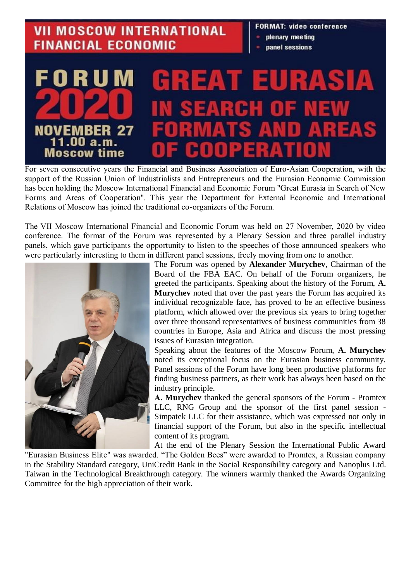## **VII MOSCOW INTERNATIONAL FINANCIAL ECONOMIC**

## **FORMAT: video conference**

- plenary meeting
- panel sessions

## E  $\vert$  D Е NOVEMB 1.00  $a.m.$ Moscow time

For seven consecutive years the Financial and Business Association of Euro-Asian Cooperation, with the support of the Russian Union of Industrialists and Entrepreneurs and the Eurasian Economic Commission has been holding the Moscow International Financial and Economic Forum "Great Eurasia in Search of New Forms and Areas of Cooperation". This year the Department for External Economic and International Relations of Moscow has joined the traditional co-organizers of the Forum.

The VII Moscow International Financial and Economic Forum was held on 27 November, 2020 by video conference. The format of the Forum was represented by a Plenary Session and three parallel industry panels, which gave participants the opportunity to listen to the speeches of those announced speakers who were particularly interesting to them in different panel sessions, freely moving from one to another.



The Forum was opened by **Alexander Murychev**, Chairman of the Board of the FBA EAC. On behalf of the Forum organizers, he greeted the participants. Speaking about the history of the Forum, **A. Murychev** noted that over the past years the Forum has acquired its individual recognizable face, has proved to be an effective business platform, which allowed over the previous six years to bring together over three thousand representatives of business communities from 38 countries in Europe, Asia and Africa and discuss the most pressing issues of Eurasian integration.

Speaking about the features of the Moscow Forum, **A. Murychev** noted its exceptional focus on the Eurasian business community. Panel sessions of the Forum have long been productive platforms for finding business partners, as their work has always been based on the industry principle.

**А. Murychev** thanked the general sponsors of the Forum - Promtex LLC, RNG Group and the sponsor of the first panel session - Simpatek LLC for their assistance, which was expressed not only in financial support of the Forum, but also in the specific intellectual content of its program.

At the end of the Plenary Session the International Public Award "Eurasian Business Elite" was awarded. "The Golden Bees" were awarded to Promtex, a Russian company in the Stability Standard category, UniCredit Bank in the Social Responsibility category and Nanoplus Ltd. Taiwan in the Technological Breakthrough category. The winners warmly thanked the Awards Organizing Committee for the high appreciation of their work.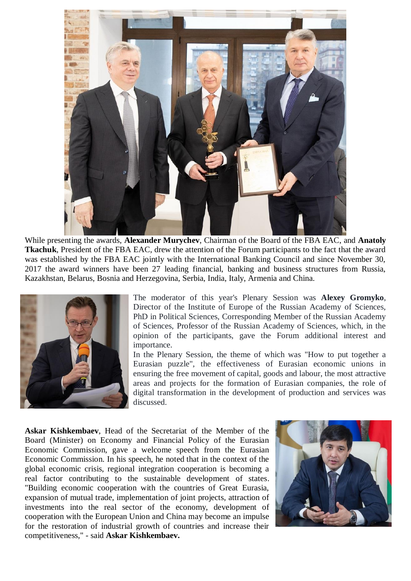

While presenting the awards, **Alexander Murychev**, Chairman of the Board of the FBA EAC, and **Anatoly Tkachuk**, President of the FBA EAC, drew the attention of the Forum participants to the fact that the award was established by the FBA EAC jointly with the International Banking Council and since November 30, 2017 the award winners have been 27 leading financial, banking and business structures from Russia, Kazakhstan, Belarus, Bosnia and Herzegovina, Serbia, India, Italy, Armenia and China.



The moderator of this year's Plenary Session was **Alexey Gromyko**, Director of the Institute of Europe of the Russian Academy of Sciences, PhD in Political Sciences, Corresponding Member of the Russian Academy of Sciences, Professor of the Russian Academy of Sciences, which, in the opinion of the participants, gave the Forum additional interest and importance.

In the Plenary Session, the theme of which was "How to put together a Eurasian puzzle", the effectiveness of Eurasian economic unions in ensuring the free movement of capital, goods and labour, the most attractive areas and projects for the formation of Eurasian companies, the role of digital transformation in the development of production and services was discussed.

**Askar Kishkembaev**, Head of the Secretariat of the Member of the Board (Minister) on Economy and Financial Policy of the Eurasian Economic Commission, gave a welcome speech from the Eurasian Economic Commission. In his speech, he noted that in the context of the global economic crisis, regional integration cooperation is becoming a real factor contributing to the sustainable development of states. "Building economic cooperation with the countries of Great Eurasia, expansion of mutual trade, implementation of joint projects, attraction of investments into the real sector of the economy, development of cooperation with the European Union and China may become an impulse for the restoration of industrial growth of countries and increase their competitiveness," - said **Askar Kishkembaev.**

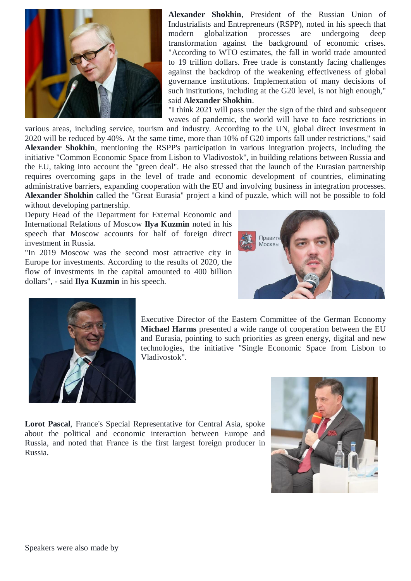

**Alexander Shokhin**, President of the Russian Union of Industrialists and Entrepreneurs (RSPP), noted in his speech that modern globalization processes are undergoing deep transformation against the background of economic crises. "According to WTO estimates, the fall in world trade amounted to 19 trillion dollars. Free trade is constantly facing challenges against the backdrop of the weakening effectiveness of global governance institutions. Implementation of many decisions of such institutions, including at the G20 level, is not high enough," said **Alexander Shokhin**.

"I think 2021 will pass under the sign of the third and subsequent waves of pandemic, the world will have to face restrictions in

various areas, including service, tourism and industry. According to the UN, global direct investment in 2020 will be reduced by 40%. At the same time, more than 10% of G20 imports fall under restrictions," said **Alexander Shokhin**, mentioning the RSPP's participation in various integration projects, including the initiative "Common Economic Space from Lisbon to Vladivostok", in building relations between Russia and the EU, taking into account the "green deal". He also stressed that the launch of the Eurasian partnership requires overcoming gaps in the level of trade and economic development of countries, eliminating administrative barriers, expanding cooperation with the EU and involving business in integration processes. **Alexander Shokhin** called the "Great Eurasia" project a kind of puzzle, which will not be possible to fold without developing partnership.

Deputy Head of the Department for External Economic and International Relations of Moscow **Ilya Kuzmin** noted in his speech that Moscow accounts for half of foreign direct investment in Russia.

"In 2019 Moscow was the second most attractive city in Europe for investments. According to the results of 2020, the flow of investments in the capital amounted to 400 billion dollars", - said **Ilya Kuzmin** in his speech.





Executive Director of the Eastern Committee of the German Economy **Michael Harms** presented a wide range of cooperation between the EU and Eurasia, pointing to such priorities as green energy, digital and new technologies, the initiative "Single Economic Space from Lisbon to Vladivostok".

**Lorot Pascal**, France's Special Representative for Central Asia, spoke about the political and economic interaction between Europe and Russia, and noted that France is the first largest foreign producer in Russia.

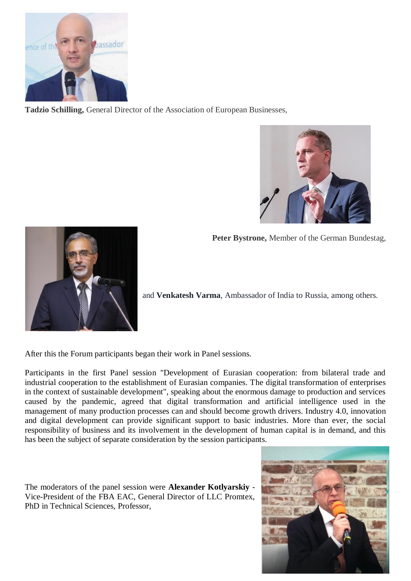

**Tadzio Schilling,** General Director of the Association of European Businesses,



**Peter Bystrone,** Member of the German Bundestag,



and **Venkatesh Varma**, Ambassador of India to Russia, among others.

After this the Forum participants began their work in Panel sessions.

Participants in the first Panel session "Development of Eurasian cooperation: from bilateral trade and industrial cooperation to the establishment of Eurasian companies. The digital transformation of enterprises in the context of sustainable development", speaking about the enormous damage to production and services caused by the pandemic, agreed that digital transformation and artificial intelligence used in the management of many production processes can and should become growth drivers. Industry 4.0, innovation and digital development can provide significant support to basic industries. More than ever, the social responsibility of business and its involvement in the development of human capital is in demand, and this has been the subject of separate consideration by the session participants.

The moderators of the panel session were **Alexander Kotlyarskiy** - Vice-President of the FBA EAC, General Director of LLC Promtex, PhD in Technical Sciences, Professor,

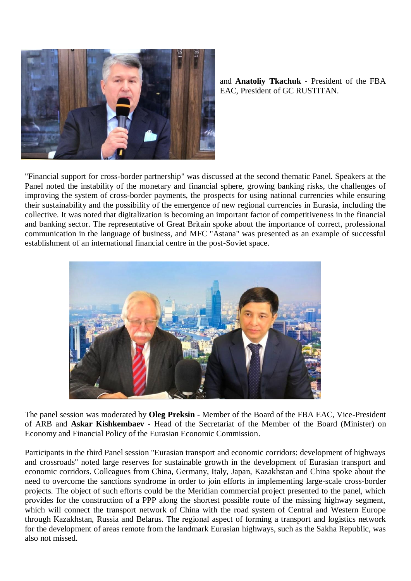

and **Anatoliy Tkachuk** - President of the FBA EAC, President of GC RUSTITAN.

"Financial support for cross-border partnership" was discussed at the second thematic Panel. Speakers at the Panel noted the instability of the monetary and financial sphere, growing banking risks, the challenges of improving the system of cross-border payments, the prospects for using national currencies while ensuring their sustainability and the possibility of the emergence of new regional currencies in Eurasia, including the collective. It was noted that digitalization is becoming an important factor of competitiveness in the financial and banking sector. The representative of Great Britain spoke about the importance of correct, professional communication in the language of business, and MFC "Astana" was presented as an example of successful establishment of an international financial centre in the post-Soviet space.



The panel session was moderated by **Oleg Preksin** - Member of the Board of the FBA EAC, Vice-President of ARB and **Askar Kishkembaev** - Head of the Secretariat of the Member of the Board (Minister) on Economy and Financial Policy of the Eurasian Economic Commission.

Participants in the third Panel session "Eurasian transport and economic corridors: development of highways and crossroads" noted large reserves for sustainable growth in the development of Eurasian transport and economic corridors. Colleagues from China, Germany, Italy, Japan, Kazakhstan and China spoke about the need to overcome the sanctions syndrome in order to join efforts in implementing large-scale cross-border projects. The object of such efforts could be the Meridian commercial project presented to the panel, which provides for the construction of a PPP along the shortest possible route of the missing highway segment, which will connect the transport network of China with the road system of Central and Western Europe through Kazakhstan, Russia and Belarus. The regional aspect of forming a transport and logistics network for the development of areas remote from the landmark Eurasian highways, such as the Sakha Republic, was also not missed.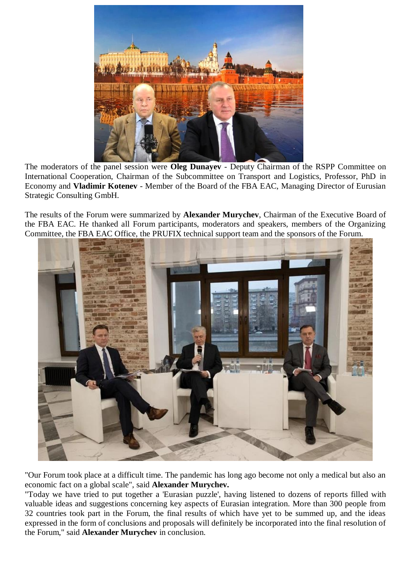

The moderators of the panel session were **Oleg Dunayev** - Deputy Chairman of the RSPP Committee on International Cooperation, Chairman of the Subcommittee on Transport and Logistics, Professor, PhD in Economy and **Vladimir Kotenev** - Member of the Board of the FBA EAC, Managing Director of Eurusian Strategic Consulting GmbH.

The results of the Forum were summarized by **Alexander Murychev**, Chairman of the Executive Board of the FBA EAC. He thanked all Forum participants, moderators and speakers, members of the Organizing Committee, the FBA EAC Office, the PRUFIX technical support team and the sponsors of the Forum.



"Our Forum took place at a difficult time. The pandemic has long ago become not only a medical but also an economic fact on a global scale", said **Alexander Murychev.**

"Today we have tried to put together a 'Eurasian puzzle', having listened to dozens of reports filled with valuable ideas and suggestions concerning key aspects of Eurasian integration. More than 300 people from 32 countries took part in the Forum, the final results of which have yet to be summed up, and the ideas expressed in the form of conclusions and proposals will definitely be incorporated into the final resolution of the Forum," said **Alexander Murychev** in conclusion.